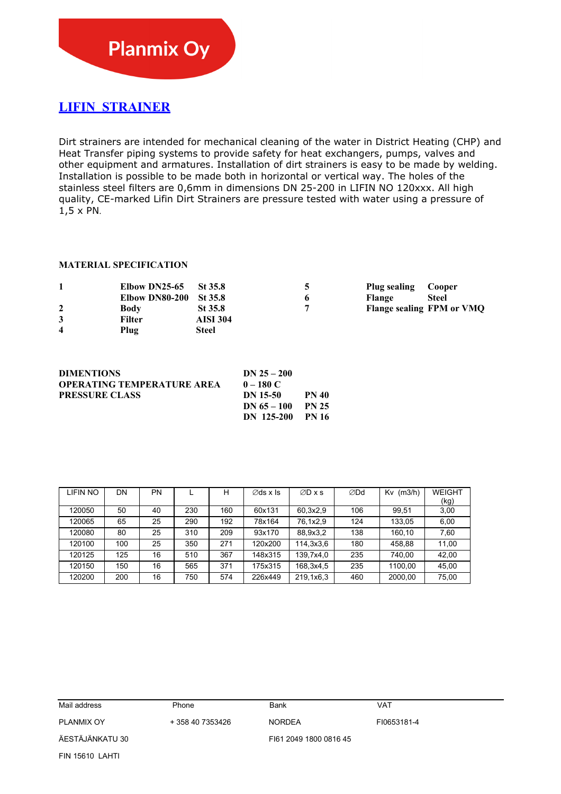## **LIFIN STRAINER**

Dirt strainers are intended for mechanical cleaning of the water in District Heating (CHP) and Heat Transfer piping systems to provide safety for heat exchangers, pumps, valves and other equipment and armatures. Installation of dirt strainers is easy to be made by welding. Installation is possible to be made both in horizontal or vertical way. The holes of the stainless steel filters are 0,6mm in dimensions DN 25-200 in LIFIN NO 120xxx. All high quality, CE-marked Lifin Dirt Strainers are pressure tested with water using a pressure of 1,5 x PN.

## **MATERIAL SPECIFICATION**

|   | Elbow DN25-65  | St 35.8         | Plug sealing  | Cooper                    |
|---|----------------|-----------------|---------------|---------------------------|
|   | Elbow DN80-200 | St 35.8         | <b>Flange</b> | Steel                     |
|   | Body           | $St$ 35.8       |               | Flange sealing FPM or VMQ |
|   | Filter         | <b>AISI 304</b> |               |                           |
| 4 | Plug           | Steel           |               |                           |

| <b>DIMENTIONS</b>                 | $DN 25 - 200$ |              |
|-----------------------------------|---------------|--------------|
| <b>OPERATING TEMPERATURE AREA</b> | $0 - 180 C$   |              |
| <b>PRESSURE CLASS</b>             | DN 15-50      | <b>PN 40</b> |
|                                   | DN $65 - 100$ | <b>PN 25</b> |
|                                   | DN 125-200    | - PN 16      |

| LIFIN NO | DN  | PN |     | н   | $\emptyset$ ds x Is | $ØD \times s$ | ∅Dd | $Kv$ (m3/h) | <b>WEIGHT</b> |
|----------|-----|----|-----|-----|---------------------|---------------|-----|-------------|---------------|
|          |     |    |     |     |                     |               |     |             | (kg)          |
| 120050   | 50  | 40 | 230 | 160 | 60x131              | 60.3x2.9      | 106 | 99.51       | 3,00          |
| 120065   | 65  | 25 | 290 | 192 | 78x164              | 76,1x2,9      | 124 | 133.05      | 6,00          |
| 120080   | 80  | 25 | 310 | 209 | 93x170              | 88,9x3,2      | 138 | 160.10      | 7,60          |
| 120100   | 100 | 25 | 350 | 271 | 120x200             | 114,3x3,6     | 180 | 458.88      | 11.00         |
| 120125   | 125 | 16 | 510 | 367 | 148x315             | 139,7x4,0     | 235 | 740.00      | 42.00         |
| 120150   | 150 | 16 | 565 | 371 | 175x315             | 168,3x4,5     | 235 | 1100.00     | 45.00         |
| 120200   | 200 | 16 | 750 | 574 | 226x449             | 219,1x6,3     | 460 | 2000,00     | 75,00         |

| Mail address      | Phone            | Bank                   | <b>VAT</b>  |  |
|-------------------|------------------|------------------------|-------------|--|
| <b>PLANMIX OY</b> | + 358 40 7353426 | <b>NORDEA</b>          | FI0653181-4 |  |
| ÄESTÄJÄNKATU 30   |                  | FI61 2049 1800 0816 45 |             |  |
| FIN 15610 LAHTI   |                  |                        |             |  |